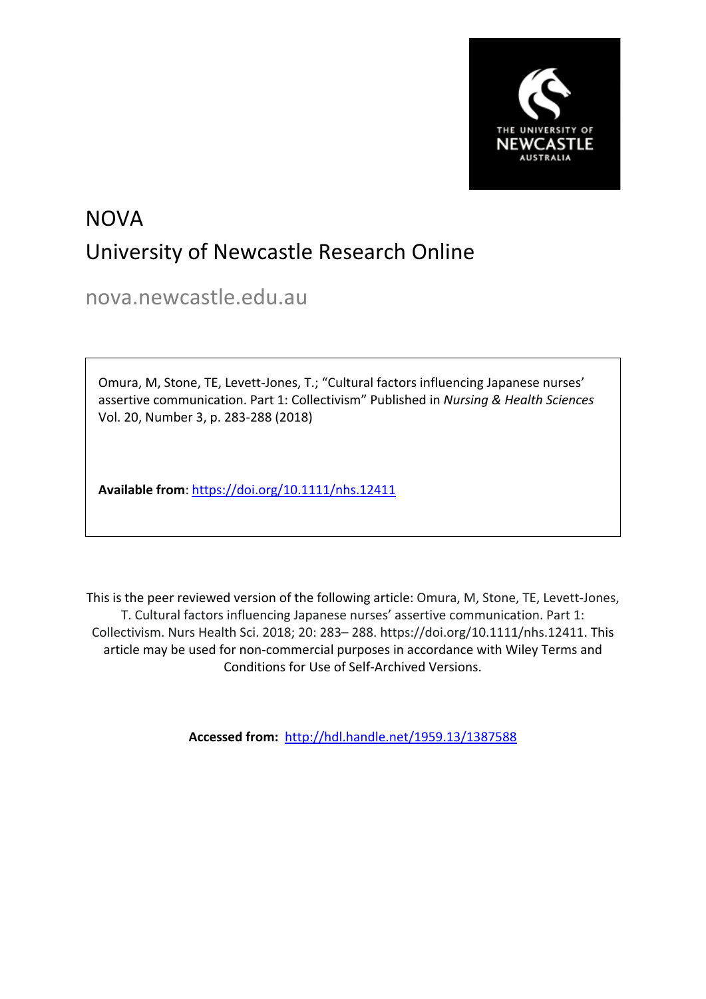

# NOVA University of Newcastle Research Online

nova.newcastle.edu.au

Omura, M, Stone, TE, Levett‐Jones, T.; "Cultural factors influencing Japanese nurses' assertive communication. Part 1: Collectivism" Published in *Nursing & Health Sciences*  Vol. 20, Number 3, p. 283-288 (2018)

**Available from**: <https://doi.org/10.1111/nhs.12411>

This is the peer reviewed version of the following article: Omura, M, Stone, TE, Levett‐Jones, T. Cultural factors influencing Japanese nurses' assertive communication. Part 1: Collectivism. Nurs Health Sci. 2018; 20: 283– 288. https://doi.org/10.1111/nhs.12411. This article may be used for non-commercial purposes in accordance with Wiley Terms and Conditions for Use of Self-Archived Versions.

**Accessed from:** <http://hdl.handle.net/1959.13/1387588>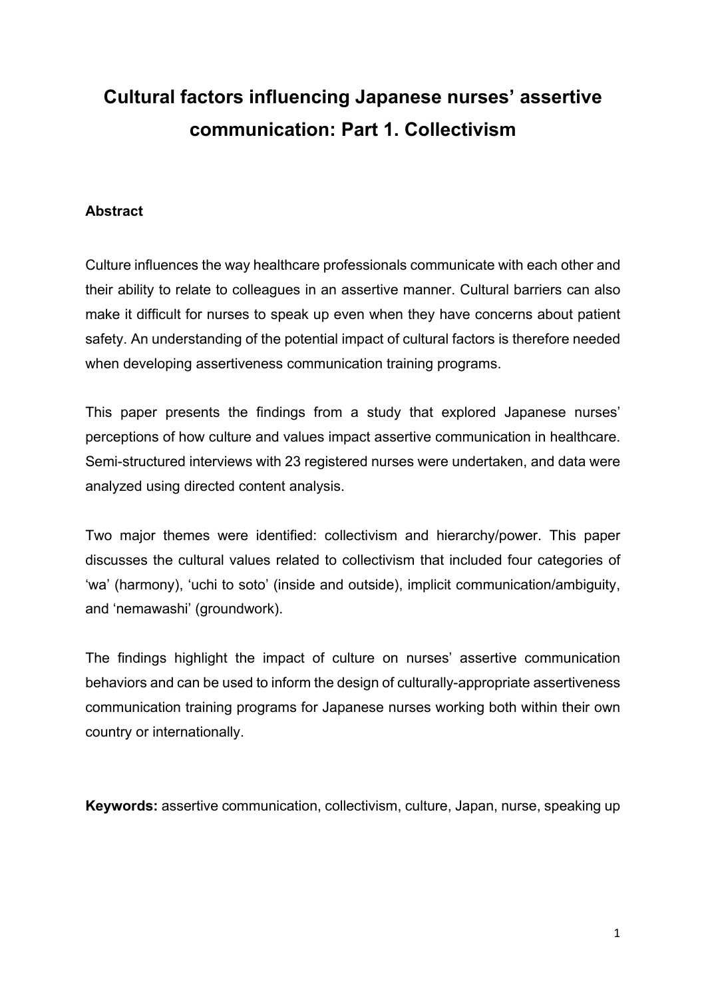## **Cultural factors influencing Japanese nurses' assertive communication: Part 1. Collectivism**

## **Abstract**

Culture influences the way healthcare professionals communicate with each other and their ability to relate to colleagues in an assertive manner. Cultural barriers can also make it difficult for nurses to speak up even when they have concerns about patient safety. An understanding of the potential impact of cultural factors is therefore needed when developing assertiveness communication training programs.

This paper presents the findings from a study that explored Japanese nurses' perceptions of how culture and values impact assertive communication in healthcare. Semi-structured interviews with 23 registered nurses were undertaken, and data were analyzed using directed content analysis.

Two major themes were identified: collectivism and hierarchy/power. This paper discusses the cultural values related to collectivism that included four categories of 'wa' (harmony), 'uchi to soto' (inside and outside), implicit communication/ambiguity, and 'nemawashi' (groundwork).

The findings highlight the impact of culture on nurses' assertive communication behaviors and can be used to inform the design of culturally-appropriate assertiveness communication training programs for Japanese nurses working both within their own country or internationally.

**Keywords:** assertive communication, collectivism, culture, Japan, nurse, speaking up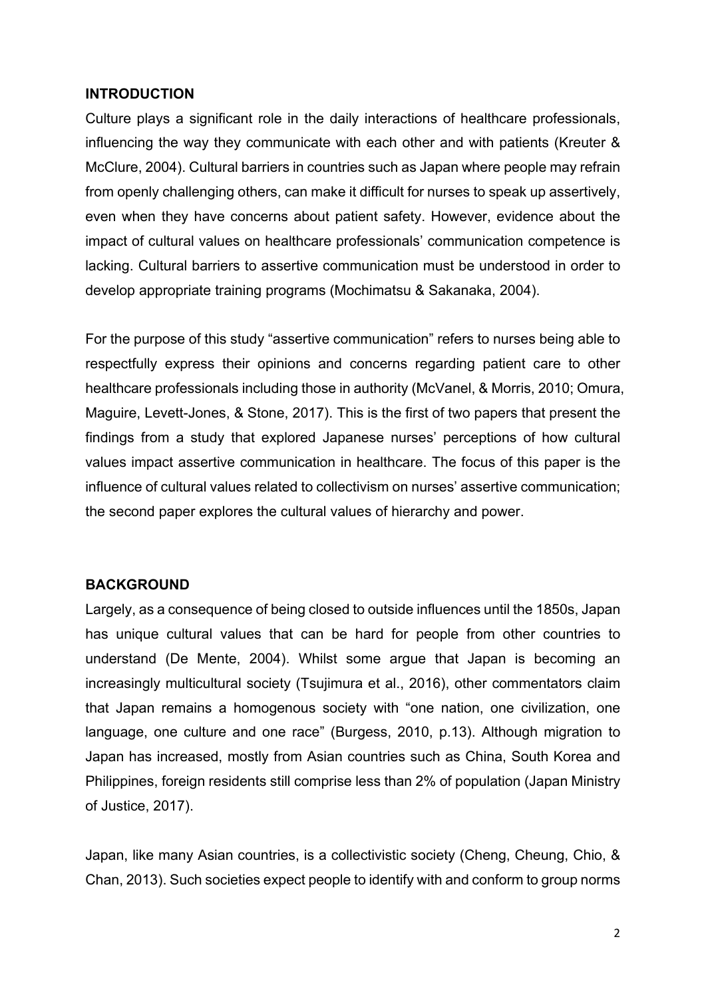#### **INTRODUCTION**

Culture plays a significant role in the daily interactions of healthcare professionals, influencing the way they communicate with each other and with patients (Kreuter & McClure, 2004). Cultural barriers in countries such as Japan where people may refrain from openly challenging others, can make it difficult for nurses to speak up assertively, even when they have concerns about patient safety. However, evidence about the impact of cultural values on healthcare professionals' communication competence is lacking. Cultural barriers to assertive communication must be understood in order to develop appropriate training programs (Mochimatsu & Sakanaka, 2004).

For the purpose of this study "assertive communication" refers to nurses being able to respectfully express their opinions and concerns regarding patient care to other healthcare professionals including those in authority (McVanel, & Morris, 2010; Omura, Maguire, Levett-Jones, & Stone, 2017). This is the first of two papers that present the findings from a study that explored Japanese nurses' perceptions of how cultural values impact assertive communication in healthcare. The focus of this paper is the influence of cultural values related to collectivism on nurses' assertive communication; the second paper explores the cultural values of hierarchy and power.

#### **BACKGROUND**

Largely, as a consequence of being closed to outside influences until the 1850s, Japan has unique cultural values that can be hard for people from other countries to understand (De Mente, 2004). Whilst some argue that Japan is becoming an increasingly multicultural society (Tsujimura et al., 2016), other commentators claim that Japan remains a homogenous society with "one nation, one civilization, one language, one culture and one race" (Burgess, 2010, p.13). Although migration to Japan has increased, mostly from Asian countries such as China, South Korea and Philippines, foreign residents still comprise less than 2% of population (Japan Ministry of Justice, 2017).

Japan, like many Asian countries, is a collectivistic society (Cheng, Cheung, Chio, & Chan, 2013). Such societies expect people to identify with and conform to group norms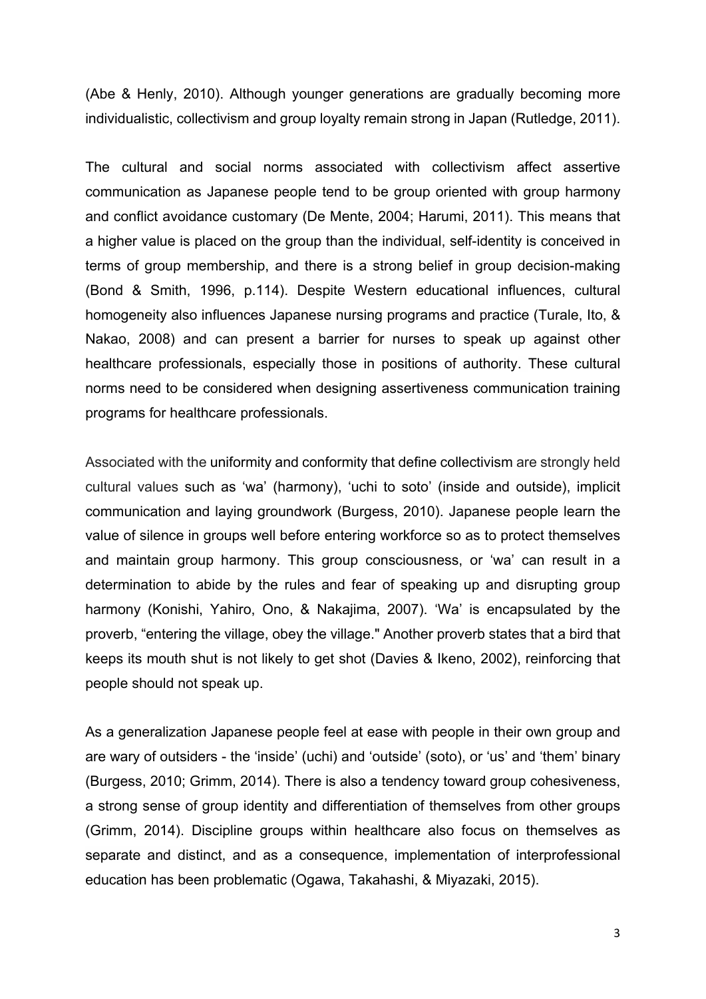(Abe & Henly, 2010). Although younger generations are gradually becoming more individualistic, collectivism and group loyalty remain strong in Japan (Rutledge, 2011).

The cultural and social norms associated with collectivism affect assertive communication as Japanese people tend to be group oriented with group harmony and conflict avoidance customary (De Mente, 2004; Harumi, 2011). This means that a higher value is placed on the group than the individual, self-identity is conceived in terms of group membership, and there is a strong belief in group decision-making (Bond & Smith, 1996, p.114). Despite Western educational influences, cultural homogeneity also influences Japanese nursing programs and practice (Turale, Ito, & Nakao, 2008) and can present a barrier for nurses to speak up against other healthcare professionals, especially those in positions of authority. These cultural norms need to be considered when designing assertiveness communication training programs for healthcare professionals.

Associated with the uniformity and conformity that define collectivism are strongly held cultural values such as 'wa' (harmony), 'uchi to soto' (inside and outside), implicit communication and laying groundwork (Burgess, 2010). Japanese people learn the value of silence in groups well before entering workforce so as to protect themselves and maintain group harmony. This group consciousness, or 'wa' can result in a determination to abide by the rules and fear of speaking up and disrupting group harmony (Konishi, Yahiro, Ono, & Nakajima, 2007). 'Wa' is encapsulated by the proverb, "entering the village, obey the village." Another proverb states that a bird that keeps its mouth shut is not likely to get shot (Davies & Ikeno, 2002), reinforcing that people should not speak up.

As a generalization Japanese people feel at ease with people in their own group and are wary of outsiders - the 'inside' (uchi) and 'outside' (soto), or 'us' and 'them' binary (Burgess, 2010; Grimm, 2014). There is also a tendency toward group cohesiveness, a strong sense of group identity and differentiation of themselves from other groups (Grimm, 2014). Discipline groups within healthcare also focus on themselves as separate and distinct, and as a consequence, implementation of interprofessional education has been problematic (Ogawa, Takahashi, & Miyazaki, 2015).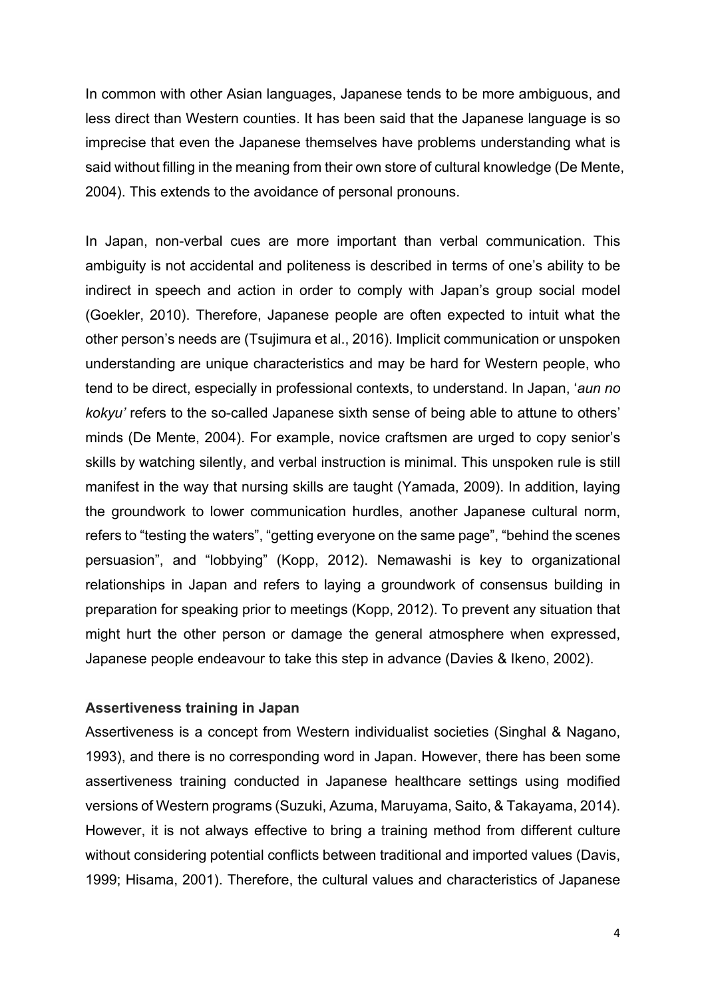In common with other Asian languages, Japanese tends to be more ambiguous, and less direct than Western counties. It has been said that the Japanese language is so imprecise that even the Japanese themselves have problems understanding what is said without filling in the meaning from their own store of cultural knowledge (De Mente, 2004). This extends to the avoidance of personal pronouns.

In Japan, non-verbal cues are more important than verbal communication. This ambiguity is not accidental and politeness is described in terms of one's ability to be indirect in speech and action in order to comply with Japan's group social model (Goekler, 2010). Therefore, Japanese people are often expected to intuit what the other person's needs are (Tsujimura et al., 2016). Implicit communication or unspoken understanding are unique characteristics and may be hard for Western people, who tend to be direct, especially in professional contexts, to understand. In Japan, '*aun no kokyu'* refers to the so-called Japanese sixth sense of being able to attune to others' minds (De Mente, 2004). For example, novice craftsmen are urged to copy senior's skills by watching silently, and verbal instruction is minimal. This unspoken rule is still manifest in the way that nursing skills are taught (Yamada, 2009). In addition, laying the groundwork to lower communication hurdles, another Japanese cultural norm, refers to "testing the waters", "getting everyone on the same page", "behind the scenes persuasion", and "lobbying" (Kopp, 2012). Nemawashi is key to organizational relationships in Japan and refers to laying a groundwork of consensus building in preparation for speaking prior to meetings (Kopp, 2012). To prevent any situation that might hurt the other person or damage the general atmosphere when expressed, Japanese people endeavour to take this step in advance (Davies & Ikeno, 2002).

## **Assertiveness training in Japan**

Assertiveness is a concept from Western individualist societies (Singhal & Nagano, 1993), and there is no corresponding word in Japan. However, there has been some assertiveness training conducted in Japanese healthcare settings using modified versions of Western programs (Suzuki, Azuma, Maruyama, Saito, & Takayama, 2014). However, it is not always effective to bring a training method from different culture without considering potential conflicts between traditional and imported values (Davis, 1999; Hisama, 2001). Therefore, the cultural values and characteristics of Japanese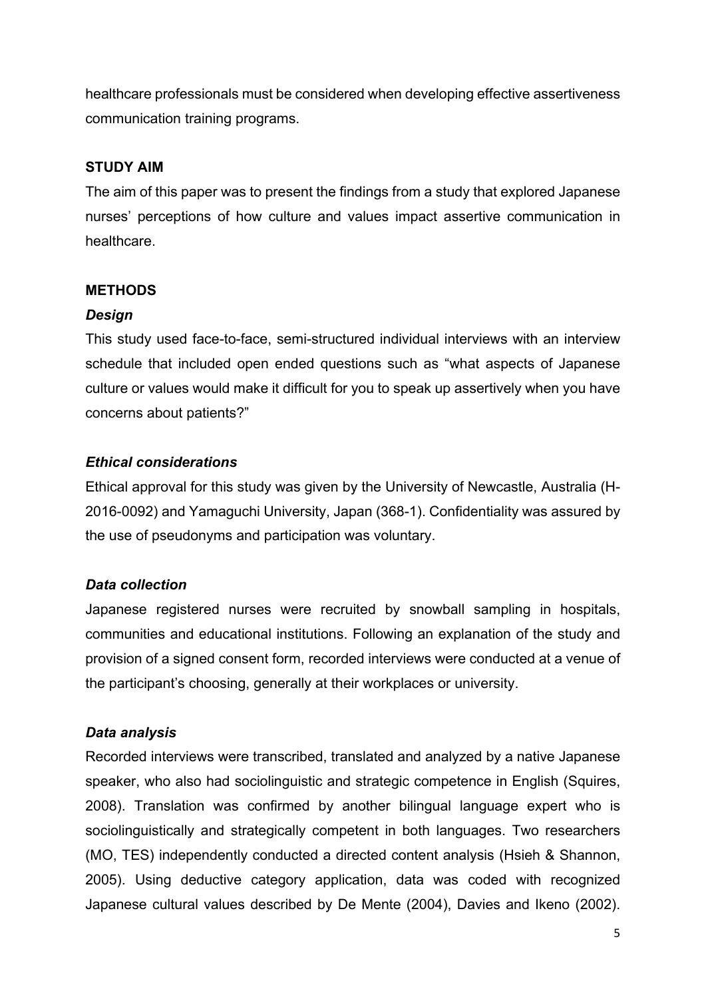healthcare professionals must be considered when developing effective assertiveness communication training programs.

## **STUDY AIM**

The aim of this paper was to present the findings from a study that explored Japanese nurses' perceptions of how culture and values impact assertive communication in healthcare.

## **METHODS**

#### *Design*

This study used face-to-face, semi-structured individual interviews with an interview schedule that included open ended questions such as "what aspects of Japanese culture or values would make it difficult for you to speak up assertively when you have concerns about patients?"

## *Ethical considerations*

Ethical approval for this study was given by the University of Newcastle, Australia (H-2016-0092) and Yamaguchi University, Japan (368-1). Confidentiality was assured by the use of pseudonyms and participation was voluntary.

## *Data collection*

Japanese registered nurses were recruited by snowball sampling in hospitals, communities and educational institutions. Following an explanation of the study and provision of a signed consent form, recorded interviews were conducted at a venue of the participant's choosing, generally at their workplaces or university.

## *Data analysis*

Recorded interviews were transcribed, translated and analyzed by a native Japanese speaker, who also had sociolinguistic and strategic competence in English (Squires, 2008). Translation was confirmed by another bilingual language expert who is sociolinguistically and strategically competent in both languages. Two researchers (MO, TES) independently conducted a directed content analysis (Hsieh & Shannon, 2005). Using deductive category application, data was coded with recognized Japanese cultural values described by De Mente (2004), Davies and Ikeno (2002).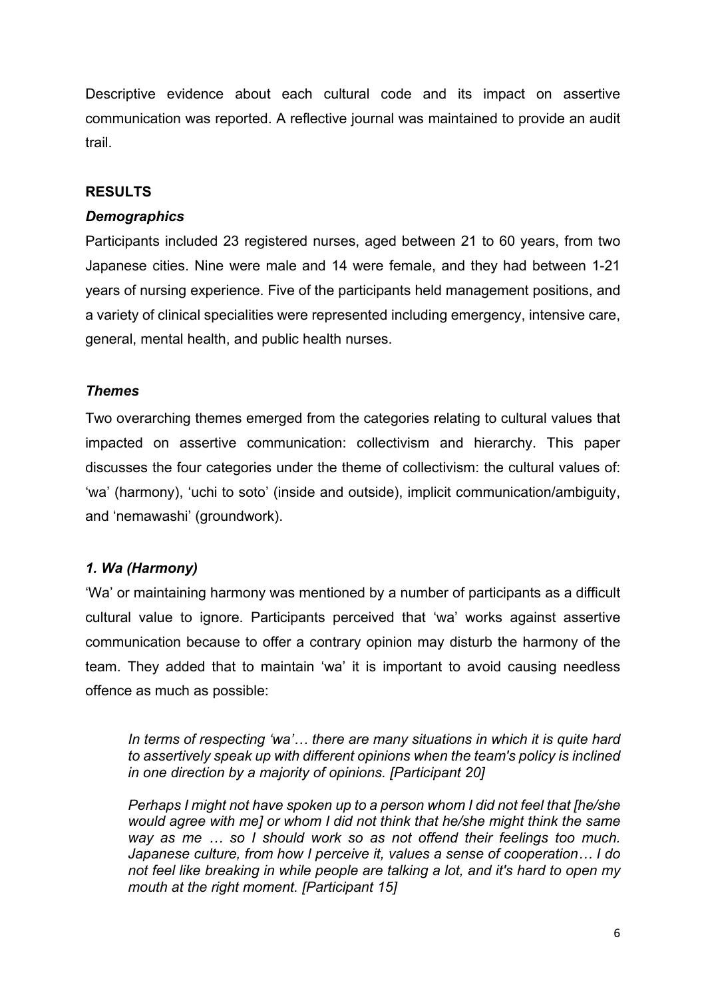Descriptive evidence about each cultural code and its impact on assertive communication was reported. A reflective journal was maintained to provide an audit trail.

## **RESULTS**

## *Demographics*

Participants included 23 registered nurses, aged between 21 to 60 years, from two Japanese cities. Nine were male and 14 were female, and they had between 1-21 years of nursing experience. Five of the participants held management positions, and a variety of clinical specialities were represented including emergency, intensive care, general, mental health, and public health nurses.

## *Themes*

Two overarching themes emerged from the categories relating to cultural values that impacted on assertive communication: collectivism and hierarchy. This paper discusses the four categories under the theme of collectivism: the cultural values of: 'wa' (harmony), 'uchi to soto' (inside and outside), implicit communication/ambiguity, and 'nemawashi' (groundwork).

## *1. Wa (Harmony)*

'Wa' or maintaining harmony was mentioned by a number of participants as a difficult cultural value to ignore. Participants perceived that 'wa' works against assertive communication because to offer a contrary opinion may disturb the harmony of the team. They added that to maintain 'wa' it is important to avoid causing needless offence as much as possible:

*In terms of respecting 'wa'… there are many situations in which it is quite hard to assertively speak up with different opinions when the team's policy is inclined in one direction by a majority of opinions. [Participant 20]*

*Perhaps I might not have spoken up to a person whom I did not feel that [he/she would agree with me] or whom I did not think that he/she might think the same way as me … so I should work so as not offend their feelings too much. Japanese culture, from how I perceive it, values a sense of cooperation… I do not feel like breaking in while people are talking a lot, and it's hard to open my mouth at the right moment. [Participant 15]*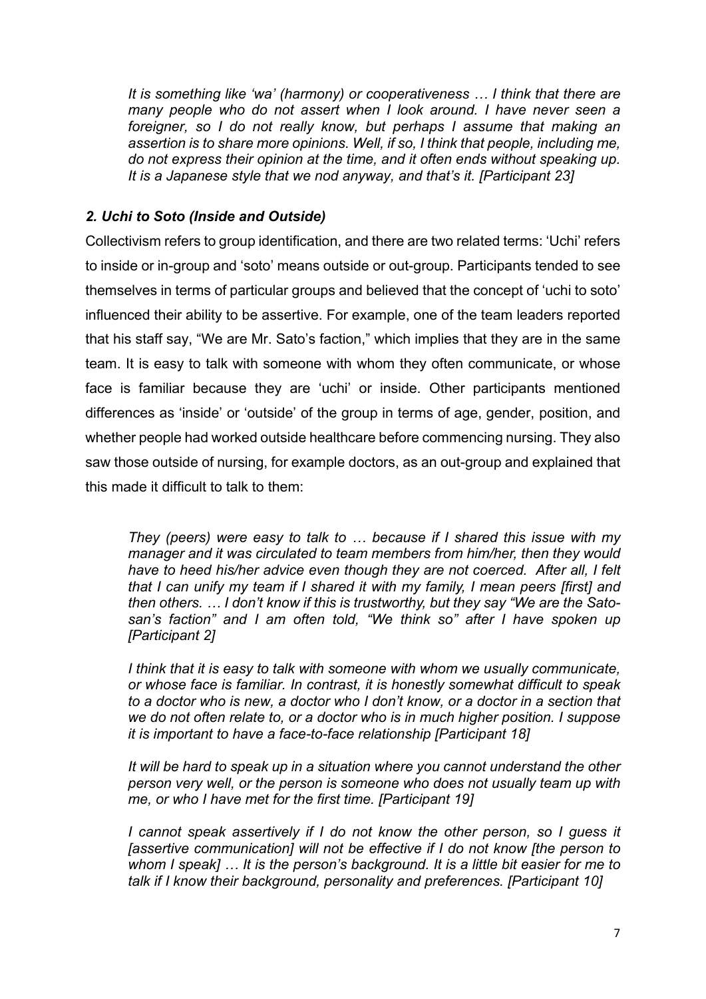*It is something like 'wa' (harmony) or cooperativeness … I think that there are many people who do not assert when I look around. I have never seen a foreigner, so I do not really know, but perhaps I assume that making an assertion is to share more opinions. Well, if so, I think that people, including me, do not express their opinion at the time, and it often ends without speaking up. It is a Japanese style that we nod anyway, and that's it. [Participant 23]*

## *2. Uchi to Soto (Inside and Outside)*

Collectivism refers to group identification, and there are two related terms: 'Uchi' refers to inside or in-group and 'soto' means outside or out-group. Participants tended to see themselves in terms of particular groups and believed that the concept of 'uchi to soto' influenced their ability to be assertive. For example, one of the team leaders reported that his staff say, "We are Mr. Sato's faction," which implies that they are in the same team. It is easy to talk with someone with whom they often communicate, or whose face is familiar because they are 'uchi' or inside. Other participants mentioned differences as 'inside' or 'outside' of the group in terms of age, gender, position, and whether people had worked outside healthcare before commencing nursing. They also saw those outside of nursing, for example doctors, as an out-group and explained that this made it difficult to talk to them:

*They (peers) were easy to talk to … because if I shared this issue with my manager and it was circulated to team members from him/her, then they would have to heed his/her advice even though they are not coerced. After all, I felt that I can unify my team if I shared it with my family, I mean peers [first] and then others. … I don't know if this is trustworthy, but they say "We are the Satosan's faction" and I am often told, "We think so" after I have spoken up [Participant 2]*

*I think that it is easy to talk with someone with whom we usually communicate, or whose face is familiar. In contrast, it is honestly somewhat difficult to speak to a doctor who is new, a doctor who I don't know, or a doctor in a section that we do not often relate to, or a doctor who is in much higher position. I suppose it is important to have a face-to-face relationship [Participant 18]*

*It will be hard to speak up in a situation where you cannot understand the other person very well, or the person is someone who does not usually team up with me, or who I have met for the first time. [Participant 19]*

*I cannot speak assertively if I do not know the other person, so I guess it [assertive communication] will not be effective if I do not know [the person to whom I speak] … It is the person's background. It is a little bit easier for me to talk if I know their background, personality and preferences. [Participant 10]*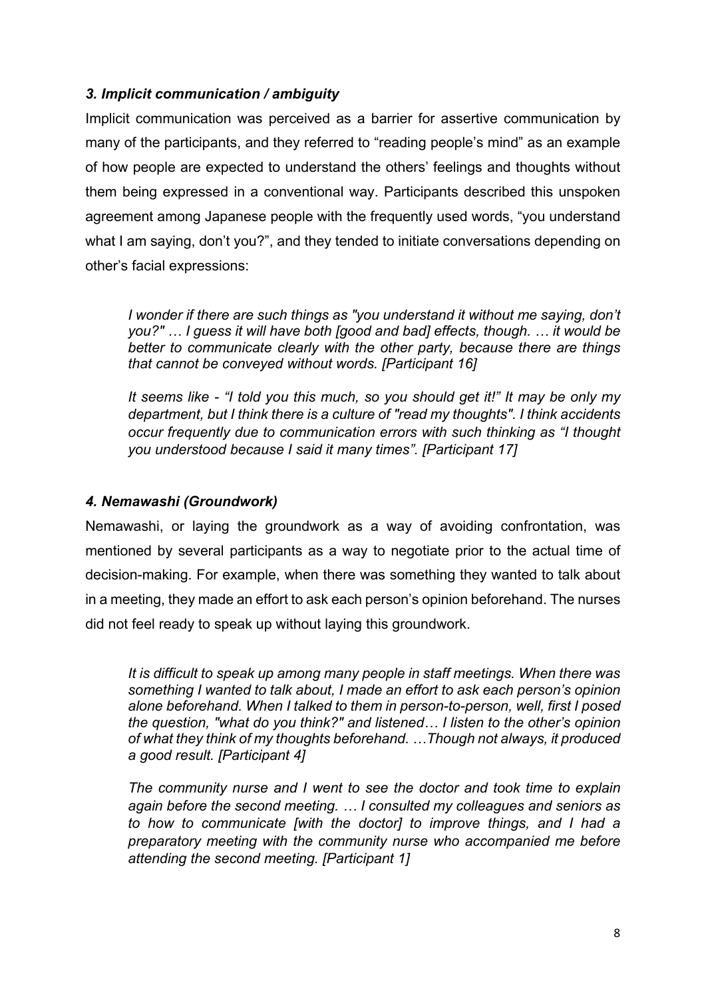## *3. Implicit communication / ambiguity*

Implicit communication was perceived as a barrier for assertive communication by many of the participants, and they referred to "reading people's mind" as an example of how people are expected to understand the others' feelings and thoughts without them being expressed in a conventional way. Participants described this unspoken agreement among Japanese people with the frequently used words, "you understand what I am saying, don't you?", and they tended to initiate conversations depending on other's facial expressions:

*I wonder if there are such things as "you understand it without me saying, don't you?" … I guess it will have both [good and bad] effects, though. … it would be better to communicate clearly with the other party, because there are things that cannot be conveyed without words. [Participant 16]*

*It seems like - "I told you this much, so you should get it!" It may be only my department, but I think there is a culture of "read my thoughts". I think accidents occur frequently due to communication errors with such thinking as "I thought you understood because I said it many times". [Participant 17]*

## *4. Nemawashi (Groundwork)*

Nemawashi, or laying the groundwork as a way of avoiding confrontation, was mentioned by several participants as a way to negotiate prior to the actual time of decision-making. For example, when there was something they wanted to talk about in a meeting, they made an effort to ask each person's opinion beforehand. The nurses did not feel ready to speak up without laying this groundwork.

*It is difficult to speak up among many people in staff meetings. When there was something I wanted to talk about, I made an effort to ask each person's opinion alone beforehand. When I talked to them in person-to-person, well, first I posed the question, "what do you think?" and listened… I listen to the other's opinion of what they think of my thoughts beforehand. …Though not always, it produced a good result. [Participant 4]*

*The community nurse and I went to see the doctor and took time to explain again before the second meeting. … I consulted my colleagues and seniors as to how to communicate [with the doctor] to improve things, and I had a preparatory meeting with the community nurse who accompanied me before attending the second meeting. [Participant 1]*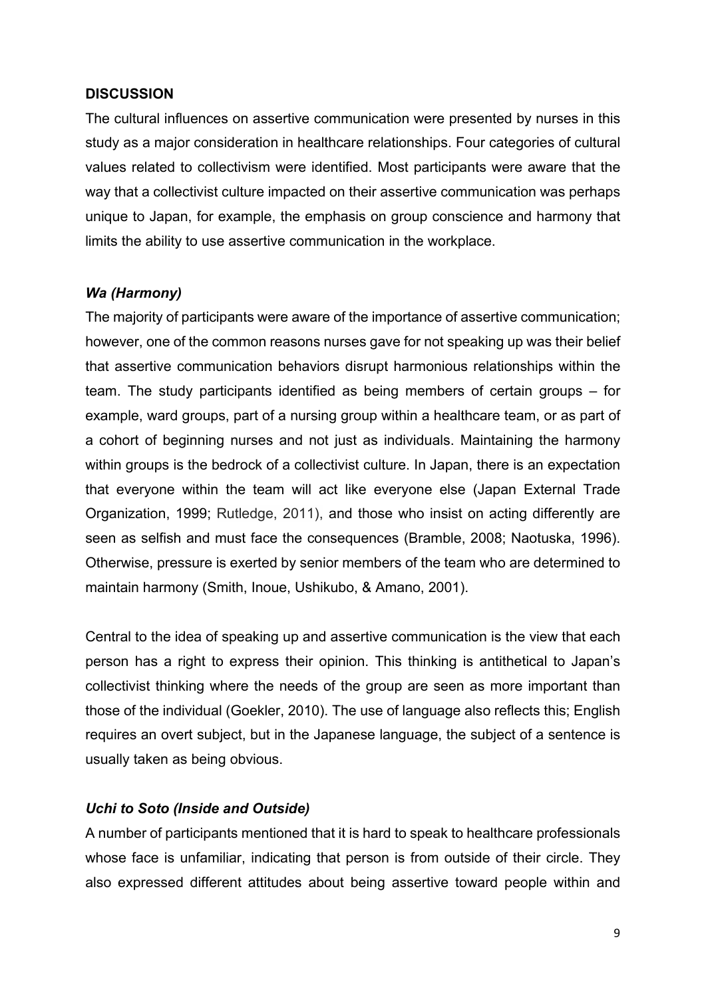#### **DISCUSSION**

The cultural influences on assertive communication were presented by nurses in this study as a major consideration in healthcare relationships. Four categories of cultural values related to collectivism were identified. Most participants were aware that the way that a collectivist culture impacted on their assertive communication was perhaps unique to Japan, for example, the emphasis on group conscience and harmony that limits the ability to use assertive communication in the workplace.

## *Wa (Harmony)*

The majority of participants were aware of the importance of assertive communication; however, one of the common reasons nurses gave for not speaking up was their belief that assertive communication behaviors disrupt harmonious relationships within the team. The study participants identified as being members of certain groups – for example, ward groups, part of a nursing group within a healthcare team, or as part of a cohort of beginning nurses and not just as individuals. Maintaining the harmony within groups is the bedrock of a collectivist culture. In Japan, there is an expectation that everyone within the team will act like everyone else (Japan External Trade Organization, 1999; Rutledge, 2011), and those who insist on acting differently are seen as selfish and must face the consequences (Bramble, 2008; Naotuska, 1996). Otherwise, pressure is exerted by senior members of the team who are determined to maintain harmony (Smith, Inoue, Ushikubo, & Amano, 2001).

Central to the idea of speaking up and assertive communication is the view that each person has a right to express their opinion. This thinking is antithetical to Japan's collectivist thinking where the needs of the group are seen as more important than those of the individual (Goekler, 2010). The use of language also reflects this; English requires an overt subject, but in the Japanese language, the subject of a sentence is usually taken as being obvious.

## *Uchi to Soto (Inside and Outside)*

A number of participants mentioned that it is hard to speak to healthcare professionals whose face is unfamiliar, indicating that person is from outside of their circle. They also expressed different attitudes about being assertive toward people within and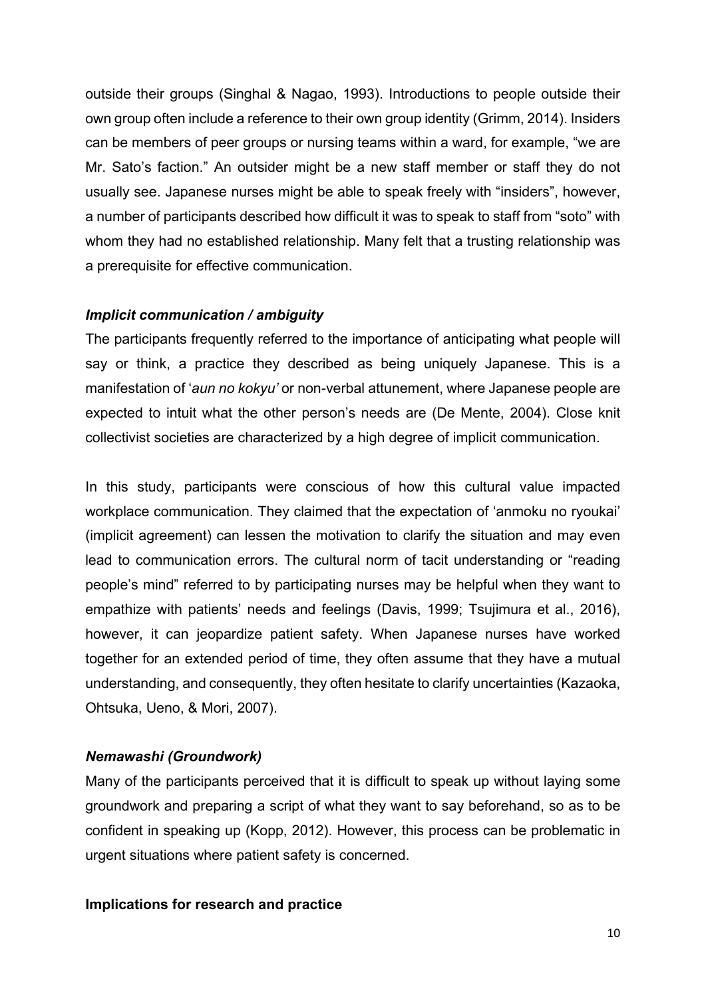outside their groups (Singhal & Nagao, 1993). Introductions to people outside their own group often include a reference to their own group identity (Grimm, 2014). Insiders can be members of peer groups or nursing teams within a ward, for example, "we are Mr. Sato's faction." An outsider might be a new staff member or staff they do not usually see. Japanese nurses might be able to speak freely with "insiders", however, a number of participants described how difficult it was to speak to staff from "soto" with whom they had no established relationship. Many felt that a trusting relationship was a prerequisite for effective communication.

#### *Implicit communication / ambiguity*

The participants frequently referred to the importance of anticipating what people will say or think, a practice they described as being uniquely Japanese. This is a manifestation of '*aun no kokyu'* or non-verbal attunement, where Japanese people are expected to intuit what the other person's needs are (De Mente, 2004). Close knit collectivist societies are characterized by a high degree of implicit communication.

In this study, participants were conscious of how this cultural value impacted workplace communication. They claimed that the expectation of 'anmoku no ryoukai' (implicit agreement) can lessen the motivation to clarify the situation and may even lead to communication errors. The cultural norm of tacit understanding or "reading people's mind" referred to by participating nurses may be helpful when they want to empathize with patients' needs and feelings (Davis, 1999; Tsujimura et al., 2016), however, it can jeopardize patient safety. When Japanese nurses have worked together for an extended period of time, they often assume that they have a mutual understanding, and consequently, they often hesitate to clarify uncertainties (Kazaoka, Ohtsuka, Ueno, & Mori, 2007).

#### *Nemawashi (Groundwork)*

Many of the participants perceived that it is difficult to speak up without laying some groundwork and preparing a script of what they want to say beforehand, so as to be confident in speaking up (Kopp, 2012). However, this process can be problematic in urgent situations where patient safety is concerned.

#### **Implications for research and practice**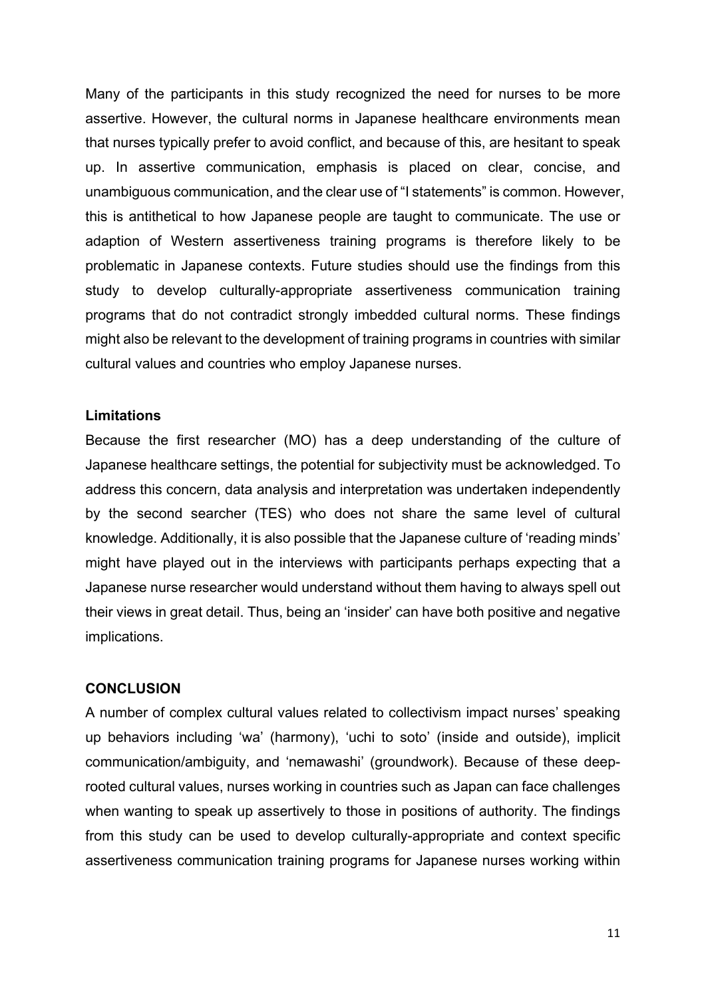Many of the participants in this study recognized the need for nurses to be more assertive. However, the cultural norms in Japanese healthcare environments mean that nurses typically prefer to avoid conflict, and because of this, are hesitant to speak up. In assertive communication, emphasis is placed on clear, concise, and unambiguous communication, and the clear use of "I statements" is common. However, this is antithetical to how Japanese people are taught to communicate. The use or adaption of Western assertiveness training programs is therefore likely to be problematic in Japanese contexts. Future studies should use the findings from this study to develop culturally-appropriate assertiveness communication training programs that do not contradict strongly imbedded cultural norms. These findings might also be relevant to the development of training programs in countries with similar cultural values and countries who employ Japanese nurses.

#### **Limitations**

Because the first researcher (MO) has a deep understanding of the culture of Japanese healthcare settings, the potential for subjectivity must be acknowledged. To address this concern, data analysis and interpretation was undertaken independently by the second searcher (TES) who does not share the same level of cultural knowledge. Additionally, it is also possible that the Japanese culture of 'reading minds' might have played out in the interviews with participants perhaps expecting that a Japanese nurse researcher would understand without them having to always spell out their views in great detail. Thus, being an 'insider' can have both positive and negative implications.

#### **CONCLUSION**

A number of complex cultural values related to collectivism impact nurses' speaking up behaviors including 'wa' (harmony), 'uchi to soto' (inside and outside), implicit communication/ambiguity, and 'nemawashi' (groundwork). Because of these deeprooted cultural values, nurses working in countries such as Japan can face challenges when wanting to speak up assertively to those in positions of authority. The findings from this study can be used to develop culturally-appropriate and context specific assertiveness communication training programs for Japanese nurses working within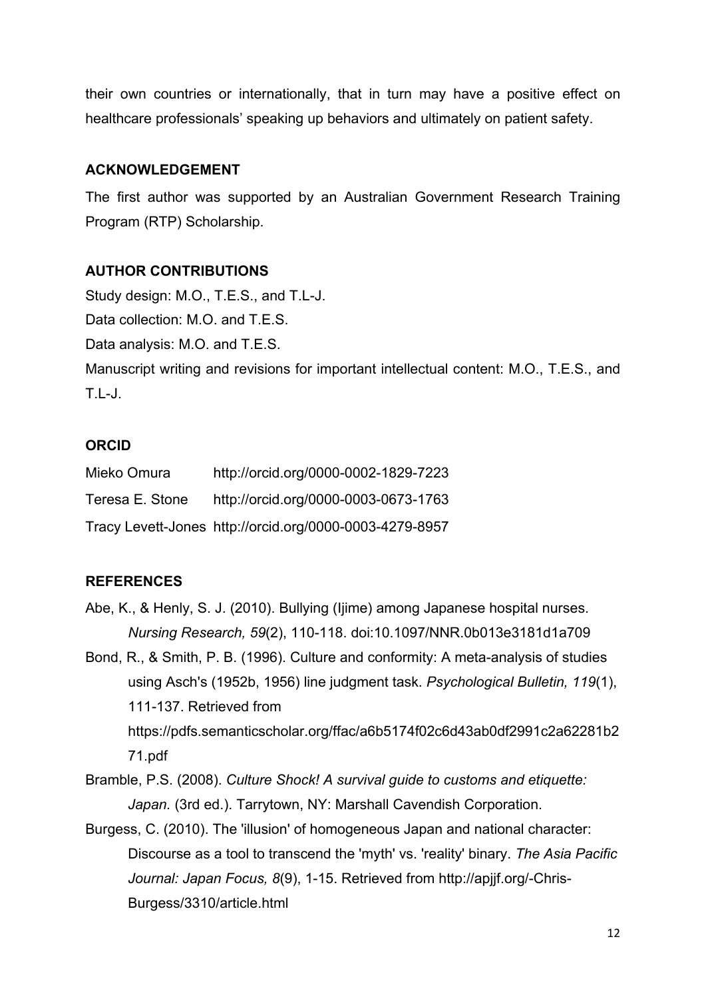their own countries or internationally, that in turn may have a positive effect on healthcare professionals' speaking up behaviors and ultimately on patient safety.

## **ACKNOWLEDGEMENT**

The first author was supported by an Australian Government Research Training Program (RTP) Scholarship.

## **AUTHOR CONTRIBUTIONS**

Study design: M.O., T.E.S., and T.L-J. Data collection:  $MO$  and  $TFS$ . Data analysis: M.O. and T.E.S. Manuscript writing and revisions for important intellectual content: M.O., T.E.S., and T.L-J.

## **ORCID**

| Mieko Omura     | http://orcid.org/0000-0002-1829-7223                    |
|-----------------|---------------------------------------------------------|
| Teresa E. Stone | http://orcid.org/0000-0003-0673-1763                    |
|                 | Tracy Levett-Jones http://orcid.org/0000-0003-4279-8957 |

## **REFERENCES**

- Abe, K., & Henly, S. J. (2010). Bullying (Ijime) among Japanese hospital nurses. *Nursing Research, 59*(2), 110-118. doi:10.1097/NNR.0b013e3181d1a709
- Bond, R., & Smith, P. B. (1996). Culture and conformity: A meta-analysis of studies using Asch's (1952b, 1956) line judgment task. *Psychological Bulletin, 119*(1), 111-137. Retrieved from https://pdfs.semanticscholar.org/ffac/a6b5174f02c6d43ab0df2991c2a62281b2 71.pdf
- Bramble, P.S. (2008). *Culture Shock! A survival guide to customs and etiquette: Japan.* (3rd ed.). Tarrytown, NY: Marshall Cavendish Corporation.
- Burgess, C. (2010). The 'illusion' of homogeneous Japan and national character: Discourse as a tool to transcend the 'myth' vs. 'reality' binary. *The Asia Pacific Journal: Japan Focus, 8*(9), 1-15. Retrieved from http://apjjf.org/-Chris-Burgess/3310/article.html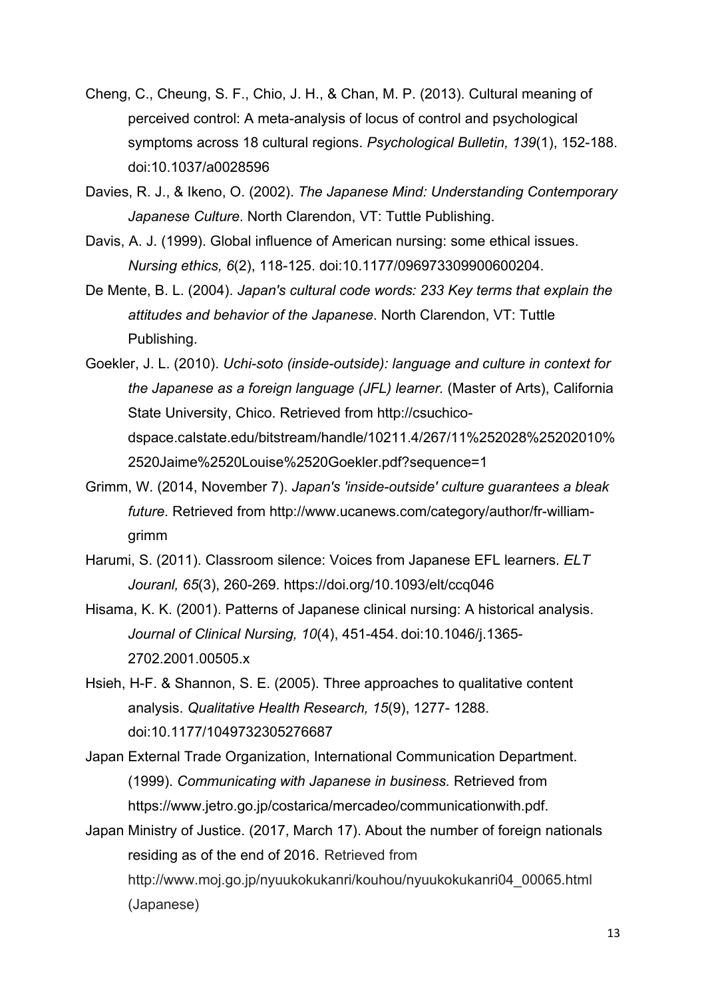- Cheng, C., Cheung, S. F., Chio, J. H., & Chan, M. P. (2013). Cultural meaning of perceived control: A meta-analysis of locus of control and psychological symptoms across 18 cultural regions. *Psychological Bulletin, 139*(1), 152-188. doi:10.1037/a0028596
- Davies, R. J., & Ikeno, O. (2002). *The Japanese Mind: Understanding Contemporary Japanese Culture*. North Clarendon, VT: Tuttle Publishing.
- Davis, A. J. (1999). Global influence of American nursing: some ethical issues. *Nursing ethics, 6*(2), 118-125. doi:10.1177/096973309900600204.
- De Mente, B. L. (2004). *Japan's cultural code words: 233 Key terms that explain the attitudes and behavior of the Japanese*. North Clarendon, VT: Tuttle Publishing.
- Goekler, J. L. (2010). *Uchi-soto (inside-outside): language and culture in context for the Japanese as a foreign language (JFL) learner.* (Master of Arts), California State University, Chico. Retrieved from http://csuchicodspace.calstate.edu/bitstream/handle/10211.4/267/11%252028%25202010% 2520Jaime%2520Louise%2520Goekler.pdf?sequence=1
- Grimm, W. (2014, November 7). *Japan's 'inside-outside' culture guarantees a bleak future*. Retrieved from http://www.ucanews.com/category/author/fr-williamgrimm
- Harumi, S. (2011). Classroom silence: Voices from Japanese EFL learners. *ELT Jouranl, 65*(3), 260-269. https://doi.org/10.1093/elt/ccq046
- Hisama, K. K. (2001). Patterns of Japanese clinical nursing: A historical analysis. *Journal of Clinical Nursing, 10*(4), 451-454. doi:10.1046/j.1365- 2702.2001.00505.x
- Hsieh, H-F. & Shannon, S. E. (2005). Three approaches to qualitative content analysis. *Qualitative Health Research, 15*(9), 1277- 1288. doi:10.1177/1049732305276687
- Japan External Trade Organization, International Communication Department. (1999). *Communicating with Japanese in business.* Retrieved from https://www.jetro.go.jp/costarica/mercadeo/communicationwith.pdf.
- Japan Ministry of Justice. (2017, March 17). About the number of foreign nationals residing as of the end of 2016. Retrieved from http://www.moj.go.jp/nyuukokukanri/kouhou/nyuukokukanri04\_00065.html (Japanese)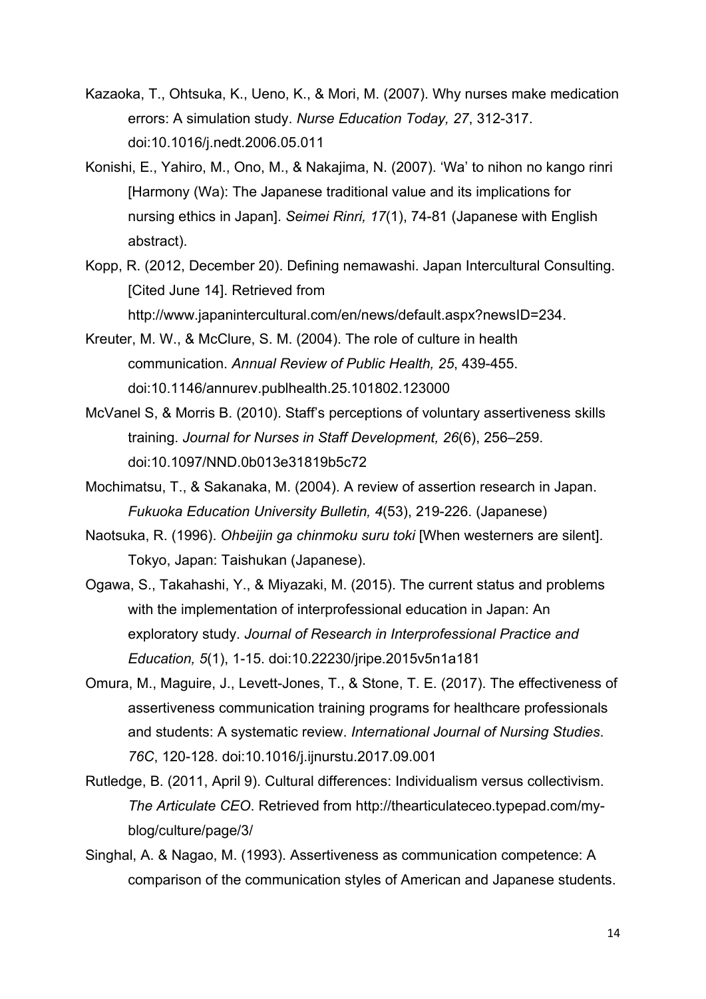- Kazaoka, T., Ohtsuka, K., Ueno, K., & Mori, M. (2007). Why nurses make medication errors: A simulation study. *Nurse Education Today, 27*, 312-317. doi:10.1016/j.nedt.2006.05.011
- Konishi, E., Yahiro, M., Ono, M., & Nakajima, N. (2007). 'Wa' to nihon no kango rinri [Harmony (Wa): The Japanese traditional value and its implications for nursing ethics in Japan]. *Seimei Rinri, 17*(1), 74-81 (Japanese with English abstract).
- Kopp, R. (2012, December 20). Defining nemawashi. Japan Intercultural Consulting. [Cited June 14]. Retrieved from http://www.japanintercultural.com/en/news/default.aspx?newsID=234.
- Kreuter, M. W., & McClure, S. M. (2004). The role of culture in health communication. *Annual Review of Public Health, 25*, 439-455. doi[:10.1146/annurev.publhealth.25.101802.123000](https://doi.org/10.1146/annurev.publhealth.25.101802.123000)
- McVanel S, & Morris B. (2010). Staff's perceptions of voluntary assertiveness skills training. *Journal for Nurses in Staff Development, 26*(6), 256–259. doi:10.1097/NND.0b013e31819b5c72
- Mochimatsu, T., & Sakanaka, M. (2004). A review of assertion research in Japan. *Fukuoka Education University Bulletin, 4*(53), 219-226. (Japanese)
- Naotsuka, R. (1996). *Ohbeijin ga chinmoku suru toki* [When westerners are silent]. Tokyo, Japan: Taishukan (Japanese).
- Ogawa, S., Takahashi, Y., & Miyazaki, M. (2015). The current status and problems with the implementation of interprofessional education in Japan: An exploratory study. *Journal of Research in Interprofessional Practice and Education, 5*(1), 1-15. [doi:10.22230/jripe.2015v5n1a181](http://dx.doi.org/10.22230/jripe.2015v5n1a181)
- Omura, M., Maguire, J., Levett-Jones, T., & Stone, T. E. (2017). The effectiveness of assertiveness communication training programs for healthcare professionals and students: A systematic review. *International Journal of Nursing Studies*. *76C*, 120-128. doi:10.1016/j.ijnurstu.2017.09.001
- Rutledge, B. (2011, April 9). Cultural differences: Individualism versus collectivism. *The Articulate CEO*. Retrieved from http://thearticulateceo.typepad.com/myblog/culture/page/3/
- Singhal, A. & Nagao, M. (1993). Assertiveness as communication competence: A comparison of the communication styles of American and Japanese students.